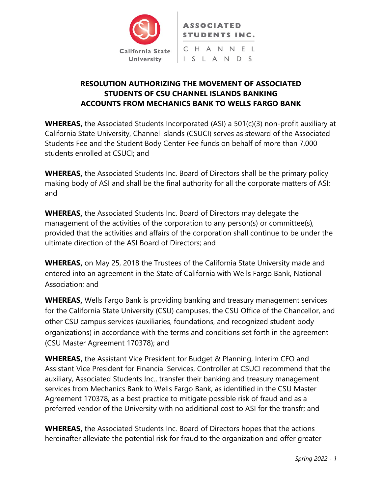

## **RESOLUTION AUTHORIZING THE MOVEMENT OF ASSOCIATED STUDENTS OF CSU CHANNEL ISLANDS BANKING ACCOUNTS FROM MECHANICS BANK TO WELLS FARGO BANK**

**WHEREAS,** the Associated Students Incorporated (ASI) a 501(c)(3) non-profit auxiliary at California State University, Channel Islands (CSUCI) serves as steward of the Associated Students Fee and the Student Body Center Fee funds on behalf of more than 7,000 students enrolled at CSUCI; and

**WHEREAS,** the Associated Students Inc. Board of Directors shall be the primary policy making body of ASI and shall be the final authority for all the corporate matters of ASI; and

**WHEREAS,** the Associated Students Inc. Board of Directors may delegate the management of the activities of the corporation to any person(s) or committee(s), provided that the activities and affairs of the corporation shall continue to be under the ultimate direction of the ASI Board of Directors; and

**WHEREAS,** on May 25, 2018 the Trustees of the California State University made and entered into an agreement in the State of California with Wells Fargo Bank, National Association; and

**WHEREAS,** Wells Fargo Bank is providing banking and treasury management services for the California State University (CSU) campuses, the CSU Office of the Chancellor, and other CSU campus services (auxiliaries, foundations, and recognized student body organizations) in accordance with the terms and conditions set forth in the agreement (CSU Master Agreement 170378); and

**WHEREAS,** the Assistant Vice President for Budget & Planning, Interim CFO and Assistant Vice President for Financial Services, Controller at CSUCI recommend that the auxiliary, Associated Students Inc., transfer their banking and treasury management services from Mechanics Bank to Wells Fargo Bank, as identified in the CSU Master Agreement 170378, as a best practice to mitigate possible risk of fraud and as a preferred vendor of the University with no additional cost to ASI for the transfr; and

**WHEREAS,** the Associated Students Inc. Board of Directors hopes that the actions hereinafter alleviate the potential risk for fraud to the organization and offer greater